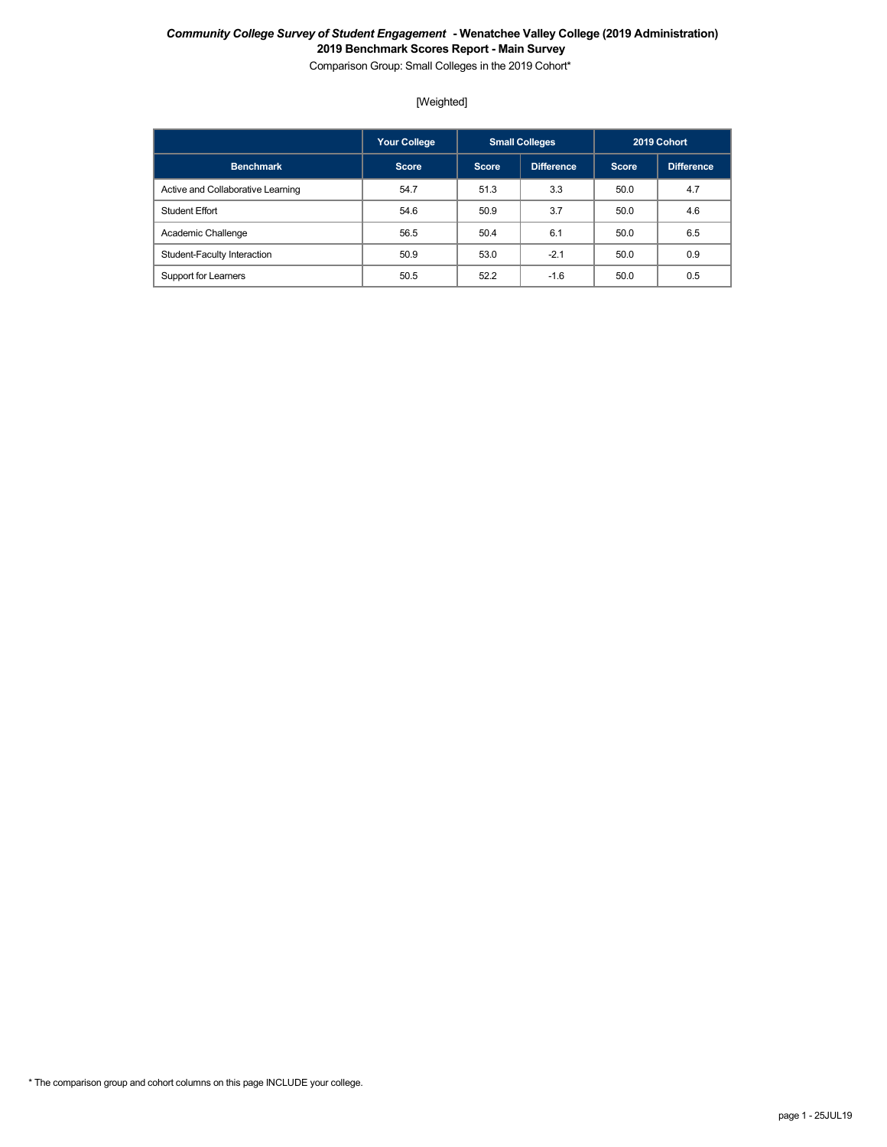Comparison Group: Small Colleges in the 2019 Cohort\*

## [Weighted]

|                                   | <b>Your College</b> |                            | <b>Small Colleges</b> |              | 2019 Cohort |
|-----------------------------------|---------------------|----------------------------|-----------------------|--------------|-------------|
| <b>Benchmark</b>                  | <b>Score</b>        | <b>Difference</b><br>Score |                       | <b>Score</b> | Difference  |
| Active and Collaborative Learning | 54.7                | 51.3                       | 3.3                   | 50.0         | 4.7         |
| <b>Student Effort</b>             | 54.6                | 50.9                       | 3.7                   | 50.0         | 4.6         |
| Academic Challenge                | 56.5                | 50.4                       | 6.1                   | 50.0         | 6.5         |
| Student-Faculty Interaction       | 50.9                | 53.0                       | $-2.1$                | 50.0         | 0.9         |
| Support for Learners              | 50.5                | 52.2                       | $-1.6$                | 50.0         | 0.5         |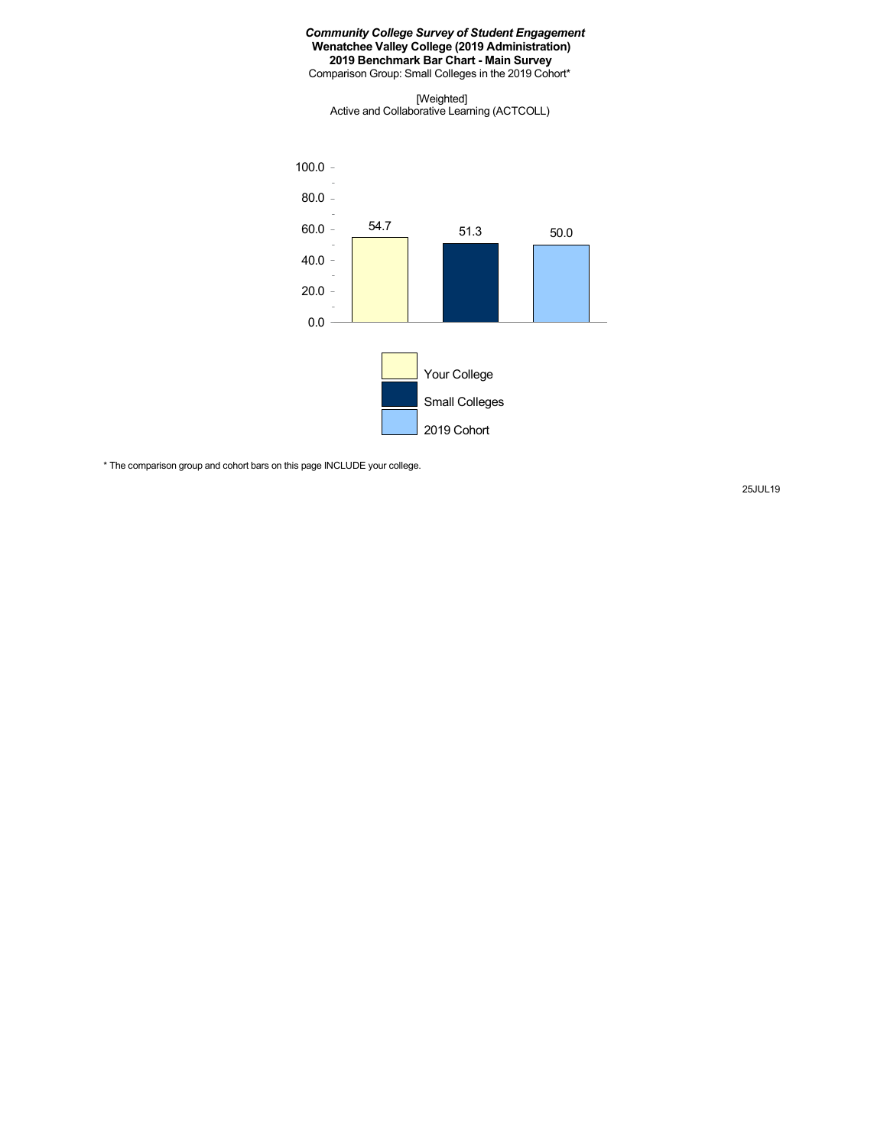Comparison Group: Small Colleges in the 2019 Cohort\*

[Weighted] Active and Collaborative Learning (ACTCOLL)



\* The comparison group and cohort bars on this page INCLUDE your college.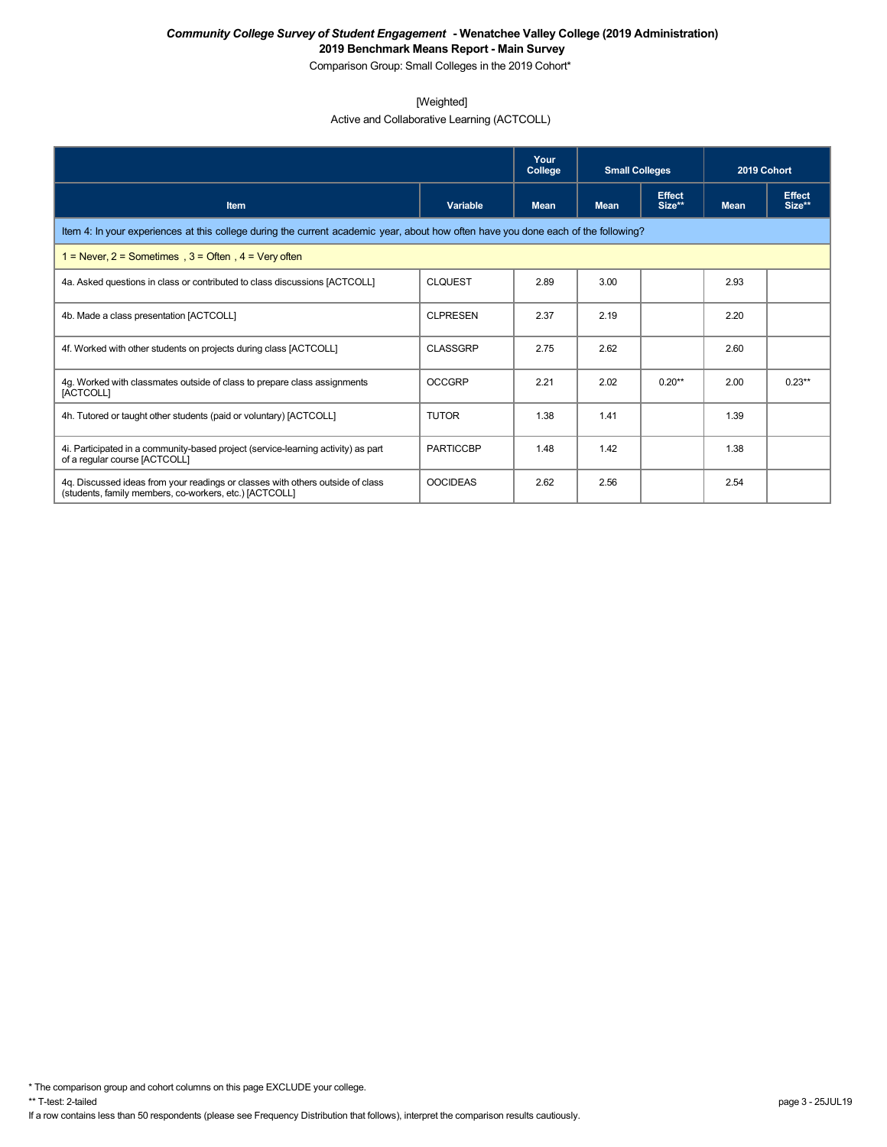Comparison Group: Small Colleges in the 2019 Cohort\*

## [Weighted]

Active and Collaborative Learning (ACTCOLL)

|                                                                                                                                          |                  | Your<br>College | <b>Small Colleges</b> |                         | 2019 Cohort |                         |  |  |  |
|------------------------------------------------------------------------------------------------------------------------------------------|------------------|-----------------|-----------------------|-------------------------|-------------|-------------------------|--|--|--|
| <b>Item</b>                                                                                                                              | Variable         | <b>Mean</b>     | <b>Mean</b>           | <b>Effect</b><br>Size** | <b>Mean</b> | <b>Effect</b><br>Size** |  |  |  |
| Item 4: In your experiences at this college during the current academic year, about how often have you done each of the following?       |                  |                 |                       |                         |             |                         |  |  |  |
| 1 = Never, $2$ = Sometimes, $3$ = Often, $4$ = Very often                                                                                |                  |                 |                       |                         |             |                         |  |  |  |
| 4a. Asked questions in class or contributed to class discussions [ACTCOLL]                                                               | <b>CLOUEST</b>   | 2.89            | 3.00                  |                         | 2.93        |                         |  |  |  |
| 4b. Made a class presentation [ACTCOLL]                                                                                                  | <b>CLPRESEN</b>  | 2.37            | 2.19                  |                         | 2.20        |                         |  |  |  |
| 4f. Worked with other students on projects during class [ACTCOLL]                                                                        | <b>CLASSGRP</b>  | 2.75            | 2.62                  |                         | 2.60        |                         |  |  |  |
| 4g. Worked with classmates outside of class to prepare class assignments<br>[ACTCOLL]                                                    | <b>OCCGRP</b>    | 2.21            | 2.02                  | $0.20**$                | 2.00        | $0.23**$                |  |  |  |
| 4h. Tutored or taught other students (paid or voluntary) [ACTCOLL]                                                                       | <b>TUTOR</b>     | 1.38            | 1.41                  |                         | 1.39        |                         |  |  |  |
| 4. Participated in a community-based project (service-learning activity) as part<br>of a regular course [ACTCOLL]                        | <b>PARTICCBP</b> | 1.48            | 1.42                  |                         | 1.38        |                         |  |  |  |
| 4q. Discussed ideas from your readings or classes with others outside of class<br>(students, family members, co-workers, etc.) [ACTCOLL] | <b>OOCIDEAS</b>  | 2.62            | 2.56                  |                         | 2.54        |                         |  |  |  |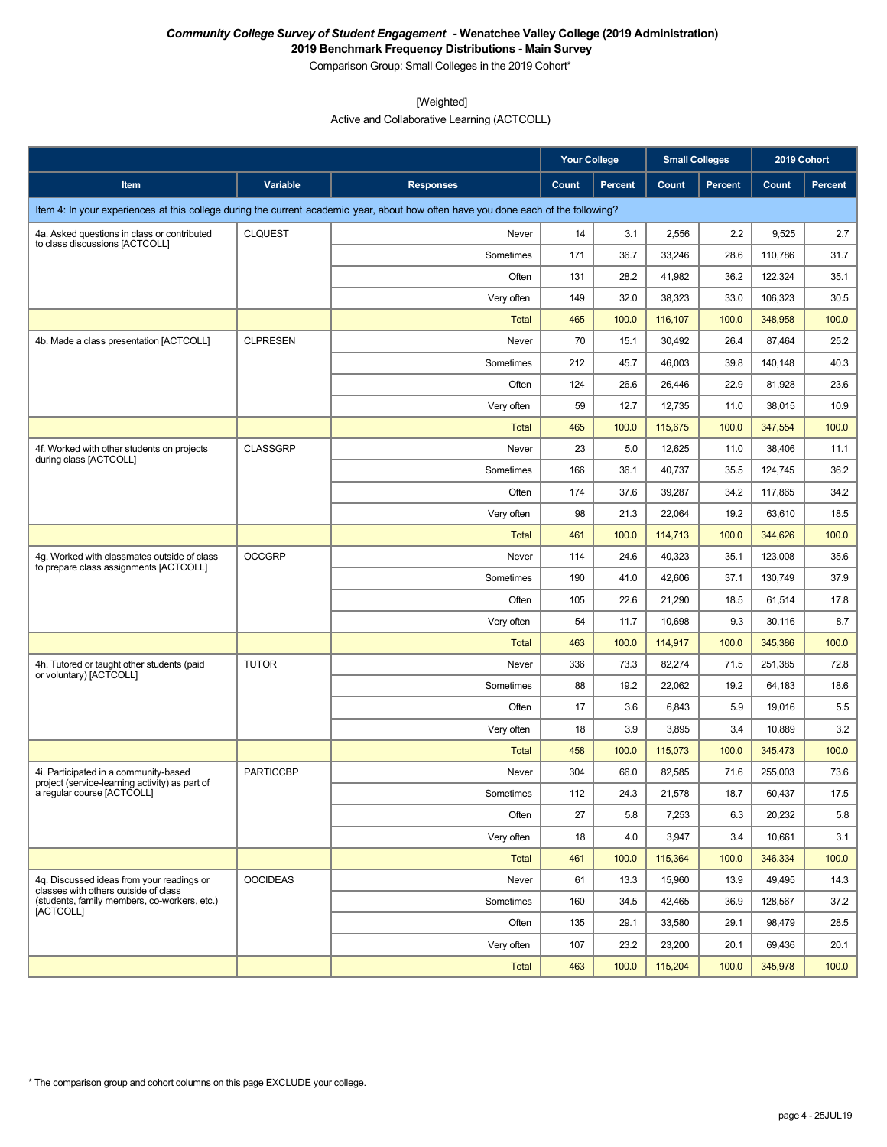**2019 Benchmark Frequency Distributions - Main Survey** Comparison Group: Small Colleges in the 2019 Cohort\*

[Weighted]

Active and Collaborative Learning (ACTCOLL)

|                                                                                         |                  |                                                                                                                                    | <b>Your College</b> |         | <b>Small Colleges</b> |         | 2019 Cohort |         |
|-----------------------------------------------------------------------------------------|------------------|------------------------------------------------------------------------------------------------------------------------------------|---------------------|---------|-----------------------|---------|-------------|---------|
| Item                                                                                    | <b>Variable</b>  | <b>Responses</b>                                                                                                                   | Count               | Percent | Count                 | Percent | Count       | Percent |
|                                                                                         |                  | Item 4: In your experiences at this college during the current academic year, about how often have you done each of the following? |                     |         |                       |         |             |         |
| 4a. Asked questions in class or contributed                                             | <b>CLQUEST</b>   | Never                                                                                                                              | 14                  | 3.1     | 2,556                 | 2.2     | 9,525       | 2.7     |
| to class discussions [ACTCOLL]                                                          |                  | Sometimes                                                                                                                          | 171                 | 36.7    | 33,246                | 28.6    | 110,786     | 31.7    |
|                                                                                         |                  | Often                                                                                                                              | 131                 | 28.2    | 41,982                | 36.2    | 122,324     | 35.1    |
|                                                                                         |                  | Very often                                                                                                                         | 149                 | 32.0    | 38,323                | 33.0    | 106,323     | 30.5    |
|                                                                                         |                  | Total                                                                                                                              | 465                 | 100.0   | 116,107               | 100.0   | 348,958     | 100.0   |
| 4b. Made a class presentation [ACTCOLL]                                                 | <b>CLPRESEN</b>  | Never                                                                                                                              | 70                  | 15.1    | 30,492                | 26.4    | 87,464      | 25.2    |
|                                                                                         |                  | Sometimes                                                                                                                          | 212                 | 45.7    | 46,003                | 39.8    | 140,148     | 40.3    |
|                                                                                         |                  | Often                                                                                                                              | 124                 | 26.6    | 26,446                | 22.9    | 81,928      | 23.6    |
|                                                                                         |                  | Very often                                                                                                                         | 59                  | 12.7    | 12,735                | 11.0    | 38,015      | 10.9    |
|                                                                                         |                  | Total                                                                                                                              | 465                 | 100.0   | 115,675               | 100.0   | 347,554     | 100.0   |
| 4f. Worked with other students on projects<br>during class [ACTCOLL]                    | <b>CLASSGRP</b>  | Never                                                                                                                              | 23                  | 5.0     | 12,625                | 11.0    | 38,406      | 11.1    |
|                                                                                         |                  | Sometimes                                                                                                                          | 166                 | 36.1    | 40,737                | 35.5    | 124,745     | 36.2    |
|                                                                                         |                  | Often                                                                                                                              | 174                 | 37.6    | 39,287                | 34.2    | 117,865     | 34.2    |
|                                                                                         |                  | Very often                                                                                                                         | 98                  | 21.3    | 22,064                | 19.2    | 63,610      | 18.5    |
|                                                                                         |                  | Total                                                                                                                              | 461                 | 100.0   | 114,713               | 100.0   | 344,626     | 100.0   |
| 4q. Worked with classmates outside of class<br>to prepare class assignments [ACTCOLL]   | <b>OCCGRP</b>    | Never                                                                                                                              | 114                 | 24.6    | 40,323                | 35.1    | 123,008     | 35.6    |
|                                                                                         |                  | Sometimes                                                                                                                          | 190                 | 41.0    | 42,606                | 37.1    | 130,749     | 37.9    |
|                                                                                         |                  | Often                                                                                                                              | 105                 | 22.6    | 21,290                | 18.5    | 61,514      | 17.8    |
|                                                                                         |                  | Very often                                                                                                                         | 54                  | 11.7    | 10,698                | 9.3     | 30,116      | 8.7     |
|                                                                                         |                  | Total                                                                                                                              | 463                 | 100.0   | 114,917               | 100.0   | 345,386     | 100.0   |
| 4h. Tutored or taught other students (paid<br>or voluntary) [ACTCOLL]                   | <b>TUTOR</b>     | Never                                                                                                                              | 336                 | 73.3    | 82,274                | 71.5    | 251,385     | 72.8    |
|                                                                                         |                  | Sometimes                                                                                                                          | 88                  | 19.2    | 22,062                | 19.2    | 64,183      | 18.6    |
|                                                                                         |                  | Often                                                                                                                              | 17                  | 3.6     | 6,843                 | 5.9     | 19,016      | 5.5     |
|                                                                                         |                  | Very often                                                                                                                         | 18                  | 3.9     | 3,895                 | 3.4     | 10,889      | 3.2     |
|                                                                                         |                  | Total                                                                                                                              | 458                 | 100.0   | 115,073               | 100.0   | 345,473     | 100.0   |
| 4i. Participated in a community-based<br>project (service-learning activity) as part of | <b>PARTICCBP</b> | Never                                                                                                                              | 304                 | 66.0    | 82,585                | 71.6    | 255,003     | 73.6    |
| a regular course [ACTCOLL]                                                              |                  | Sometimes                                                                                                                          | 112                 | 24.3    | 21,578                | 18.7    | 60,437      | 17.5    |
|                                                                                         |                  | Often                                                                                                                              | 27                  | 5.8     | 7,253                 | 6.3     | 20,232      | 5.8     |
|                                                                                         |                  | Very often                                                                                                                         | 18                  | 4.0     | 3,947                 | 3.4     | 10,661      | 3.1     |
|                                                                                         |                  | Total                                                                                                                              | 461                 | 100.0   | 115,364               | 100.0   | 346,334     | 100.0   |
| 4q. Discussed ideas from your readings or<br>classes with others outside of class       | <b>OOCIDEAS</b>  | Never                                                                                                                              | 61                  | 13.3    | 15,960                | 13.9    | 49,495      | 14.3    |
| (students, family members, co-workers, etc.)<br>[ACTCOLL]                               |                  | Sometimes                                                                                                                          | 160                 | 34.5    | 42,465                | 36.9    | 128,567     | 37.2    |
|                                                                                         |                  | Often                                                                                                                              | 135                 | 29.1    | 33,580                | 29.1    | 98.479      | 28.5    |
|                                                                                         |                  | Very often                                                                                                                         | 107                 | 23.2    | 23,200                | 20.1    | 69,436      | 20.1    |
|                                                                                         |                  | <b>Total</b>                                                                                                                       | 463                 | 100.0   | 115,204               | 100.0   | 345,978     | 100.0   |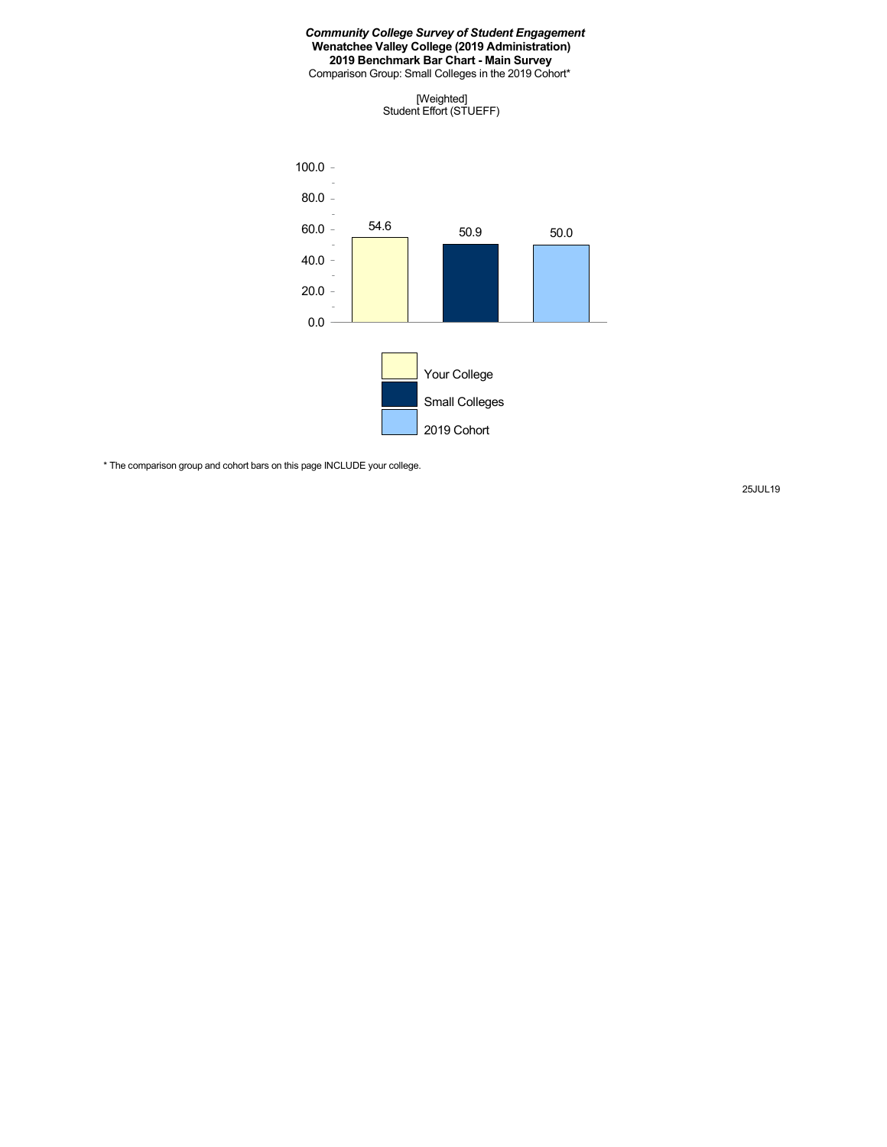Comparison Group: Small Colleges in the 2019 Cohort\*





\* The comparison group and cohort bars on this page INCLUDE your college.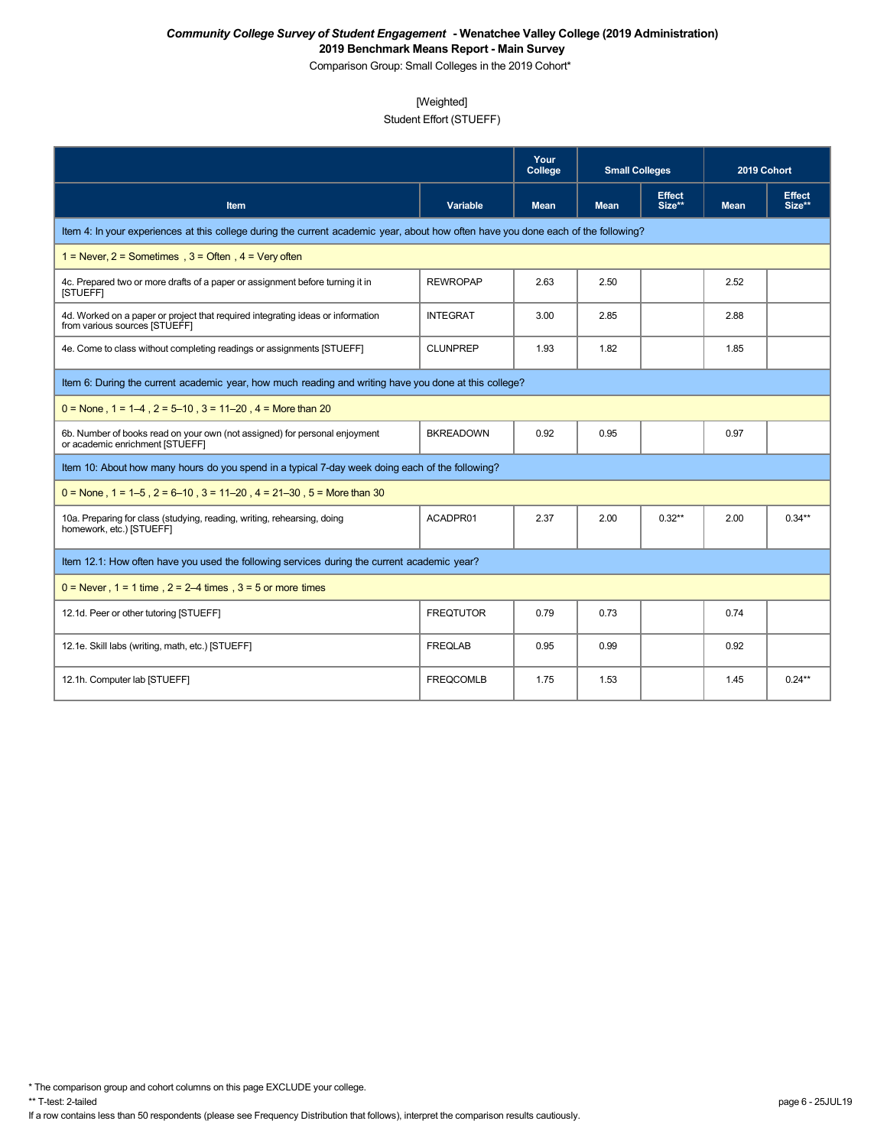Comparison Group: Small Colleges in the 2019 Cohort\*

## [Weighted]

# Student Effort (STUEFF)

|                                                                                                                                    |                  | Your<br>College | <b>Small Colleges</b> |                         | 2019 Cohort |                         |  |  |  |
|------------------------------------------------------------------------------------------------------------------------------------|------------------|-----------------|-----------------------|-------------------------|-------------|-------------------------|--|--|--|
| <b>Item</b>                                                                                                                        | <b>Variable</b>  | <b>Mean</b>     | <b>Mean</b>           | <b>Effect</b><br>Size** | <b>Mean</b> | <b>Effect</b><br>Size** |  |  |  |
| Item 4: In your experiences at this college during the current academic year, about how often have you done each of the following? |                  |                 |                       |                         |             |                         |  |  |  |
| 1 = Never, $2$ = Sometimes, $3$ = Often, $4$ = Very often                                                                          |                  |                 |                       |                         |             |                         |  |  |  |
| 4c. Prepared two or more drafts of a paper or assignment before turning it in<br>[STUEFF]                                          | <b>REWROPAP</b>  | 2.63            | 2.50                  |                         | 2.52        |                         |  |  |  |
| 4d. Worked on a paper or project that required integrating ideas or information<br>from various sources [STUEFF]                   | <b>INTEGRAT</b>  | 3.00            | 2.85                  |                         | 2.88        |                         |  |  |  |
| 4e. Come to class without completing readings or assignments [STUEFF]                                                              | <b>CLUNPREP</b>  | 1.93            | 1.82                  |                         | 1.85        |                         |  |  |  |
| Item 6: During the current academic year, how much reading and writing have you done at this college?                              |                  |                 |                       |                         |             |                         |  |  |  |
| $0 =$ None, $1 = 1-4$ , $2 = 5-10$ , $3 = 11-20$ , $4 =$ More than 20                                                              |                  |                 |                       |                         |             |                         |  |  |  |
| 6b. Number of books read on your own (not assigned) for personal enjoyment<br>or academic enrichment ISTUEFFI                      | <b>BKREADOWN</b> | 0.92            | 0.95                  |                         | 0.97        |                         |  |  |  |
| Item 10: About how many hours do you spend in a typical 7-day week doing each of the following?                                    |                  |                 |                       |                         |             |                         |  |  |  |
| $0 =$ None, 1 = 1–5, 2 = 6–10, 3 = 11–20, 4 = 21–30, 5 = More than 30                                                              |                  |                 |                       |                         |             |                         |  |  |  |
| 10a. Preparing for class (studying, reading, writing, rehearsing, doing<br>homework, etc.) [STUEFF]                                | ACADPR01         | 2.37            | 2.00                  | $0.32**$                | 2.00        | $0.34**$                |  |  |  |
| Item 12.1: How often have you used the following services during the current academic year?                                        |                  |                 |                       |                         |             |                         |  |  |  |
| $0 =$ Never, 1 = 1 time, 2 = 2–4 times, 3 = 5 or more times                                                                        |                  |                 |                       |                         |             |                         |  |  |  |
| 12.1d. Peer or other tutoring [STUEFF]                                                                                             | <b>FREQTUTOR</b> | 0.79            | 0.73                  |                         | 0.74        |                         |  |  |  |
| 12.1e. Skill labs (writing, math, etc.) [STUEFF]                                                                                   | <b>FREQLAB</b>   | 0.95            | 0.99                  |                         | 0.92        |                         |  |  |  |
| 12.1h. Computer lab [STUEFF]                                                                                                       | <b>FREQCOMLB</b> | 1.75            | 1.53                  |                         | 1.45        | $0.24***$               |  |  |  |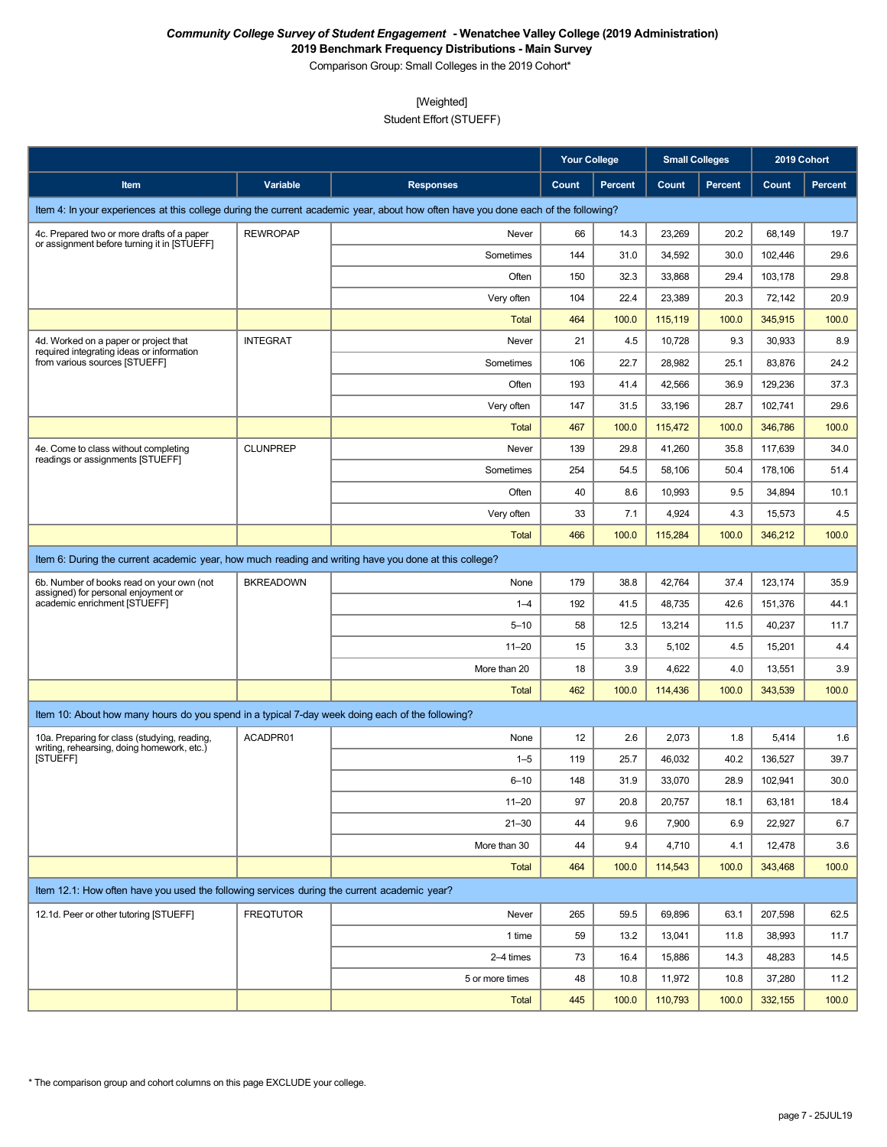Comparison Group: Small Colleges in the 2019 Cohort\*

## [Weighted]

Student Effort (STUEFF)

|                                                                                                       |                  |                                                                                                                                    | <b>Your College</b> |                | <b>Small Colleges</b> |                |         | 2019 Cohort |
|-------------------------------------------------------------------------------------------------------|------------------|------------------------------------------------------------------------------------------------------------------------------------|---------------------|----------------|-----------------------|----------------|---------|-------------|
| Item                                                                                                  | Variable         | <b>Responses</b>                                                                                                                   | Count               | <b>Percent</b> | Count                 | <b>Percent</b> | Count   | Percent     |
|                                                                                                       |                  | Item 4: In your experiences at this college during the current academic year, about how often have you done each of the following? |                     |                |                       |                |         |             |
| 4c. Prepared two or more drafts of a paper                                                            | <b>REWROPAP</b>  | Never                                                                                                                              | 66                  | 14.3           | 23,269                | 20.2           | 68,149  | 19.7        |
| or assignment before turning it in [STUEFF]                                                           |                  | Sometimes                                                                                                                          | 144                 | 31.0           | 34,592                | 30.0           | 102,446 | 29.6        |
|                                                                                                       |                  | Often                                                                                                                              | 150                 | 32.3           | 33,868                | 29.4           | 103,178 | 29.8        |
|                                                                                                       |                  | Very often                                                                                                                         | 104                 | 22.4           | 23,389                | 20.3           | 72,142  | 20.9        |
|                                                                                                       |                  | Total                                                                                                                              | 464                 | 100.0          | 115,119               | 100.0          | 345,915 | 100.0       |
| 4d. Worked on a paper or project that<br>required integrating ideas or information                    | <b>INTEGRAT</b>  | Never                                                                                                                              | 21                  | 4.5            | 10,728                | 9.3            | 30,933  | 8.9         |
| from various sources [STUEFF]                                                                         |                  | Sometimes                                                                                                                          | 106                 | 22.7           | 28,982                | 25.1           | 83,876  | 24.2        |
|                                                                                                       |                  | Often                                                                                                                              | 193                 | 41.4           | 42,566                | 36.9           | 129,236 | 37.3        |
|                                                                                                       |                  | Very often                                                                                                                         | 147                 | 31.5           | 33,196                | 28.7           | 102,741 | 29.6        |
|                                                                                                       |                  | <b>Total</b>                                                                                                                       | 467                 | 100.0          | 115,472               | 100.0          | 346,786 | 100.0       |
| 4e. Come to class without completing<br>readings or assignments [STUEFF]                              | <b>CLUNPREP</b>  | Never                                                                                                                              | 139                 | 29.8           | 41,260                | 35.8           | 117,639 | 34.0        |
|                                                                                                       |                  | Sometimes                                                                                                                          | 254                 | 54.5           | 58,106                | 50.4           | 178,106 | 51.4        |
|                                                                                                       |                  | Often                                                                                                                              | 40                  | 8.6            | 10,993                | 9.5            | 34,894  | 10.1        |
|                                                                                                       |                  | Very often                                                                                                                         | 33                  | 7.1            | 4,924                 | 4.3            | 15,573  | 4.5         |
|                                                                                                       |                  | Total                                                                                                                              | 466                 | 100.0          | 115,284               | 100.0          | 346,212 | 100.0       |
| Item 6: During the current academic year, how much reading and writing have you done at this college? |                  |                                                                                                                                    |                     |                |                       |                |         |             |
| 6b. Number of books read on your own (not<br>assigned) for personal enjoyment or                      | <b>BKREADOWN</b> | None                                                                                                                               | 179                 | 38.8           | 42,764                | 37.4           | 123,174 | 35.9        |
| academic enrichment [STUEFF]                                                                          |                  | $1 - 4$                                                                                                                            | 192                 | 41.5           | 48,735                | 42.6           | 151,376 | 44.1        |
|                                                                                                       |                  | $5 - 10$                                                                                                                           | 58                  | 12.5           | 13,214                | 11.5           | 40,237  | 11.7        |
|                                                                                                       |                  | $11 - 20$                                                                                                                          | 15                  | 3.3            | 5,102                 | 4.5            | 15,201  | 4.4         |
|                                                                                                       |                  | More than 20                                                                                                                       | 18                  | 3.9            | 4,622                 | 4.0            | 13,551  | 3.9         |
|                                                                                                       |                  | <b>Total</b>                                                                                                                       | 462                 | 100.0          | 114,436               | 100.0          | 343,539 | 100.0       |
| Item 10: About how many hours do you spend in a typical 7-day week doing each of the following?       |                  |                                                                                                                                    |                     |                |                       |                |         |             |
| 10a. Preparing for class (studying, reading,                                                          | ACADPR01         | None                                                                                                                               | 12                  | 2.6            | 2,073                 | 1.8            | 5,414   | 1.6         |
| writing, rehearsing, doing homework, etc.)<br>[STUEFF]                                                |                  | $1 - 5$                                                                                                                            | 119                 | 25.7           | 46,032                | 40.2           | 136,527 | 39.7        |
|                                                                                                       |                  | $6 - 10$                                                                                                                           | 148                 | 31.9           | 33,070                | 28.9           | 102,941 | 30.0        |
|                                                                                                       |                  | $11 - 20$                                                                                                                          | 97                  | 20.8           | 20,757                | 18.1           | 63,181  | 18.4        |
|                                                                                                       |                  | $21 - 30$                                                                                                                          | 44                  | 9.6            | 7,900                 | 6.9            | 22,927  | 6.7         |
|                                                                                                       |                  | More than 30                                                                                                                       | 44                  | 9.4            | 4,710                 | 4.1            | 12,478  | 3.6         |
|                                                                                                       |                  | <b>Total</b>                                                                                                                       | 464                 | 100.0          | 114,543               | 100.0          | 343,468 | 100.0       |
| Item 12.1: How often have you used the following services during the current academic year?           |                  |                                                                                                                                    |                     |                |                       |                |         |             |
| 12.1d. Peer or other tutoring [STUEFF]                                                                | <b>FREQTUTOR</b> | Never                                                                                                                              | 265                 | 59.5           | 69,896                | 63.1           | 207,598 | 62.5        |
|                                                                                                       |                  | 1 time                                                                                                                             | 59                  | 13.2           | 13,041                | 11.8           | 38,993  | 11.7        |
|                                                                                                       |                  | 2-4 times                                                                                                                          | 73                  | 16.4           | 15,886                | 14.3           | 48,283  | 14.5        |
|                                                                                                       |                  | 5 or more times                                                                                                                    | 48                  | 10.8           | 11,972                | 10.8           | 37,280  | 11.2        |
|                                                                                                       |                  | <b>Total</b>                                                                                                                       | 445                 | 100.0          | 110,793               | 100.0          | 332,155 | 100.0       |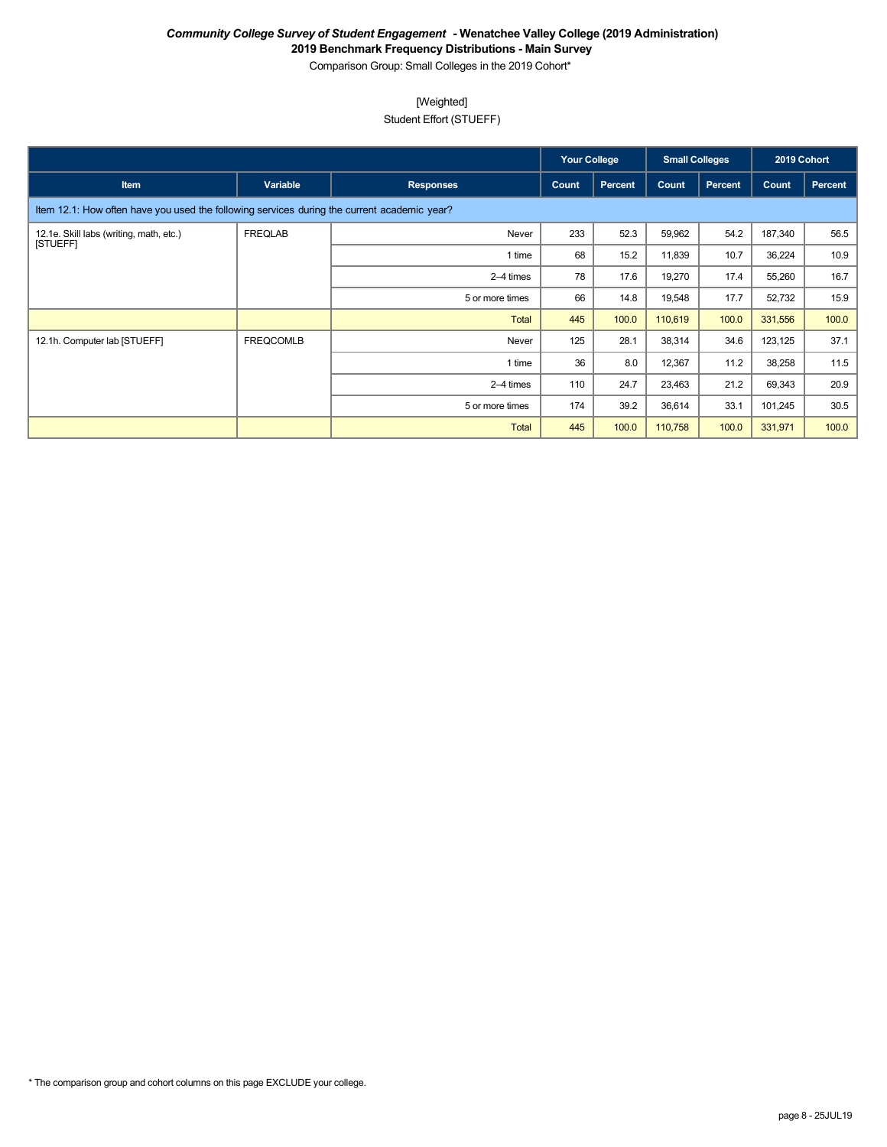Comparison Group: Small Colleges in the 2019 Cohort\*

## [Weighted]

Student Effort (STUEFF)

|                                                                                             |                  |                  | <b>Your College</b> |                | <b>Small Colleges</b> |         | 2019 Cohort |         |
|---------------------------------------------------------------------------------------------|------------------|------------------|---------------------|----------------|-----------------------|---------|-------------|---------|
| <b>Item</b>                                                                                 | Variable         | <b>Responses</b> | Count               | <b>Percent</b> | Count                 | Percent | Count       | Percent |
| Item 12.1: How often have you used the following services during the current academic year? |                  |                  |                     |                |                       |         |             |         |
| 12.1e. Skill labs (writing, math, etc.)<br><b>ISTUEFFI</b>                                  | <b>FREQLAB</b>   | Never            | 233                 | 52.3           | 59,962                | 54.2    | 187,340     | 56.5    |
|                                                                                             |                  | 1 time           | 68                  | 15.2           | 11,839                | 10.7    | 36,224      | 10.9    |
|                                                                                             |                  | 2–4 times        | 78                  | 17.6           | 19,270                | 17.4    | 55,260      | 16.7    |
|                                                                                             |                  | 5 or more times  | 66                  | 14.8           | 19,548                | 17.7    | 52,732      | 15.9    |
|                                                                                             |                  | Total            | 445                 | 100.0          | 110,619               | 100.0   | 331,556     | 100.0   |
| 12.1h. Computer lab [STUEFF]                                                                | <b>FREQCOMLB</b> | Never            | 125                 | 28.1           | 38,314                | 34.6    | 123,125     | 37.1    |
|                                                                                             |                  | 1 time           | 36                  | 8.0            | 12,367                | 11.2    | 38,258      | 11.5    |
|                                                                                             |                  | 2–4 times        | 110                 | 24.7           | 23,463                | 21.2    | 69,343      | 20.9    |
|                                                                                             |                  | 5 or more times  | 174                 | 39.2           | 36,614                | 33.1    | 101,245     | 30.5    |
|                                                                                             |                  | <b>Total</b>     | 445                 | 100.0          | 110,758               | 100.0   | 331,971     | 100.0   |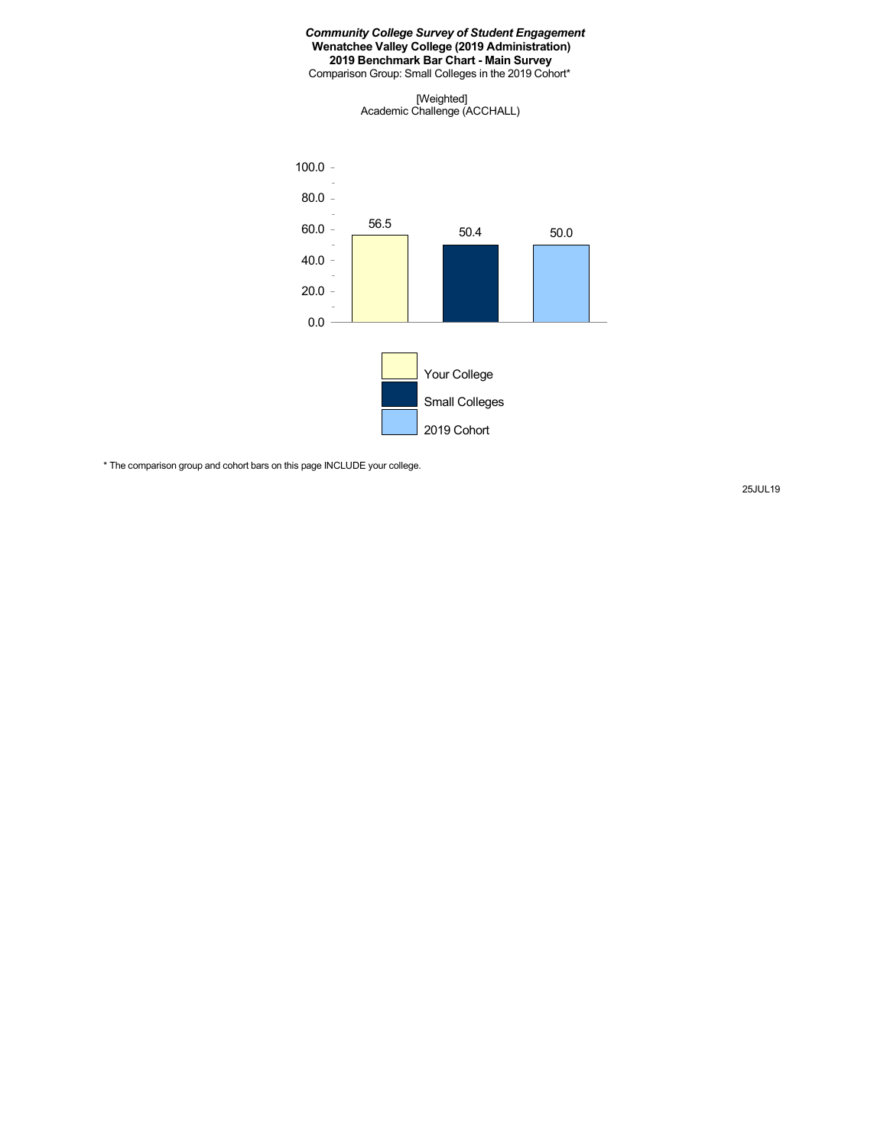Comparison Group: Small Colleges in the 2019 Cohort\*

[Weighted] Academic Challenge (ACCHALL)



\* The comparison group and cohort bars on this page INCLUDE your college.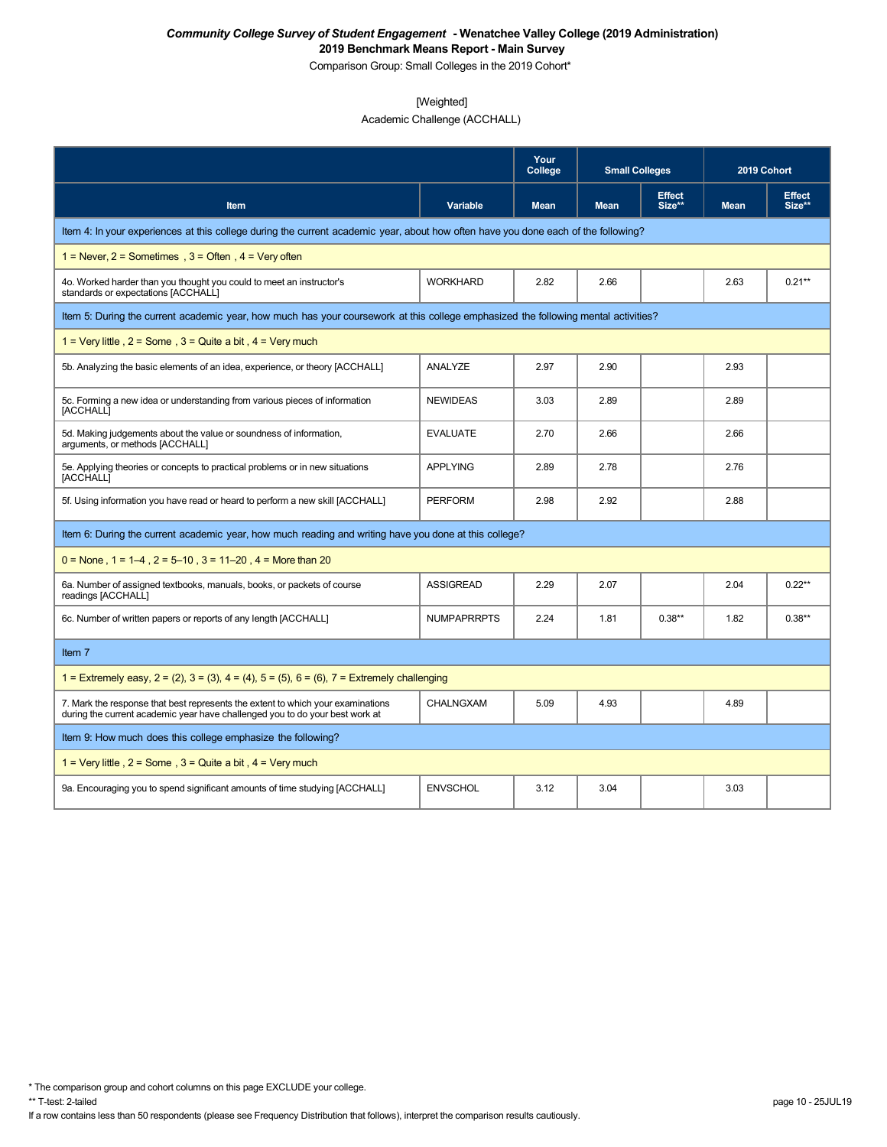Comparison Group: Small Colleges in the 2019 Cohort\*

## [Weighted]

Academic Challenge (ACCHALL)

|                                                                                                                                                                 |                    | Your<br>College | <b>Small Colleges</b> |                         | 2019 Cohort |                         |
|-----------------------------------------------------------------------------------------------------------------------------------------------------------------|--------------------|-----------------|-----------------------|-------------------------|-------------|-------------------------|
| Item                                                                                                                                                            | Variable           | <b>Mean</b>     | <b>Mean</b>           | <b>Effect</b><br>Size** | <b>Mean</b> | <b>Effect</b><br>Size** |
| Item 4: In your experiences at this college during the current academic year, about how often have you done each of the following?                              |                    |                 |                       |                         |             |                         |
| 1 = Never, $2$ = Sometimes, $3$ = Often, $4$ = Very often                                                                                                       |                    |                 |                       |                         |             |                         |
| 4o. Worked harder than you thought you could to meet an instructor's<br>standards or expectations [ACCHALL]                                                     | <b>WORKHARD</b>    | 2.82            | 2.66                  |                         | 2.63        | $0.21**$                |
| Item 5: During the current academic year, how much has your coursework at this college emphasized the following mental activities?                              |                    |                 |                       |                         |             |                         |
| 1 = Very little, $2 =$ Some, $3 =$ Quite a bit, $4 =$ Very much                                                                                                 |                    |                 |                       |                         |             |                         |
| 5b. Analyzing the basic elements of an idea, experience, or theory [ACCHALL]                                                                                    | ANALYZE            | 2.97            | 2.90                  |                         | 2.93        |                         |
| 5c. Forming a new idea or understanding from various pieces of information<br>[ACCHALL]                                                                         | <b>NEWIDEAS</b>    | 3.03            | 2.89                  |                         | 2.89        |                         |
| 5d. Making judgements about the value or soundness of information,<br>arguments, or methods [ACCHALL]                                                           | <b>EVALUATE</b>    | 2.70            | 2.66                  |                         | 2.66        |                         |
| 5e. Applying theories or concepts to practical problems or in new situations<br>[ACCHALL]                                                                       | <b>APPLYING</b>    | 2.89            | 2.78                  |                         | 2.76        |                         |
| 5f. Using information you have read or heard to perform a new skill [ACCHALL]                                                                                   | <b>PERFORM</b>     | 2.98            | 2.92                  |                         | 2.88        |                         |
| Item 6: During the current academic year, how much reading and writing have you done at this college?                                                           |                    |                 |                       |                         |             |                         |
| $0 =$ None, 1 = 1–4, 2 = 5–10, 3 = 11–20, 4 = More than 20                                                                                                      |                    |                 |                       |                         |             |                         |
| 6a. Number of assigned textbooks, manuals, books, or packets of course<br>readings [ACCHALL]                                                                    | <b>ASSIGREAD</b>   | 2.29            | 2.07                  |                         | 2.04        | $0.22**$                |
| 6c. Number of written papers or reports of any length [ACCHALL]                                                                                                 | <b>NUMPAPRRPTS</b> | 2.24            | 1.81                  | $0.38**$                | 1.82        | $0.38**$                |
| Item 7                                                                                                                                                          |                    |                 |                       |                         |             |                         |
| 1 = Extremely easy, 2 = (2), 3 = (3), 4 = (4), 5 = (5), 6 = (6), 7 = Extremely challenging                                                                      |                    |                 |                       |                         |             |                         |
| 7. Mark the response that best represents the extent to which your examinations<br>during the current academic year have challenged you to do your best work at | <b>CHALNGXAM</b>   | 5.09            | 4.93                  |                         | 4.89        |                         |
| Item 9: How much does this college emphasize the following?                                                                                                     |                    |                 |                       |                         |             |                         |
| 1 = Very little, $2 =$ Some, $3 =$ Quite a bit, $4 =$ Very much                                                                                                 |                    |                 |                       |                         |             |                         |
| 9a. Encouraging you to spend significant amounts of time studying [ACCHALL]                                                                                     | <b>ENVSCHOL</b>    | 3.12            | 3.04                  |                         | 3.03        |                         |

\* The comparison group and cohort columns on this page EXCLUDE your college.

If a row contains less than 50 respondents (please see Frequency Distribution that follows), interpret the comparison results cautiously.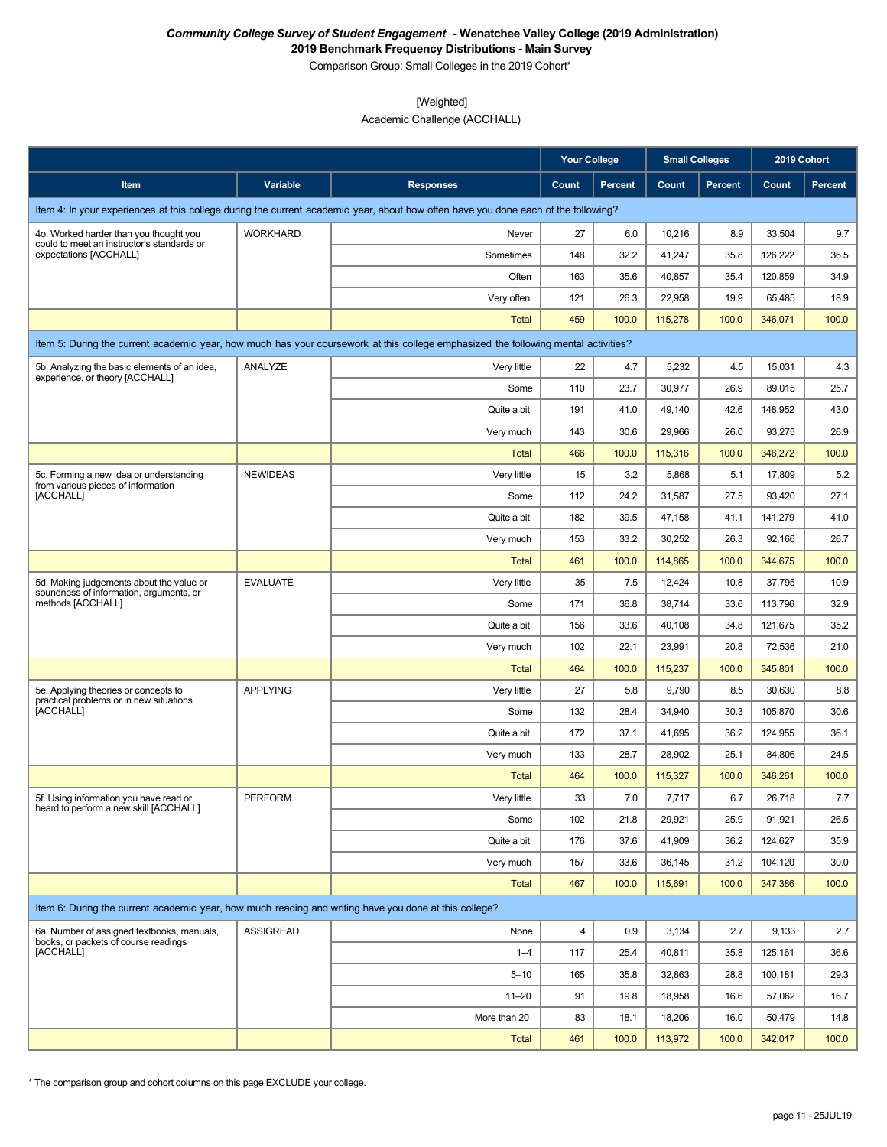**2019 Benchmark Frequency Distributions - Main Survey**

Comparison Group: Small Colleges in the 2019 Cohort\*

### [Weighted]

Academic Challenge (ACCHALL)

|                                                                                                          |                  |                                                                                                                                    | <b>Your College</b> |                | <b>Small Colleges</b> |                | 2019 Cohort |                |
|----------------------------------------------------------------------------------------------------------|------------------|------------------------------------------------------------------------------------------------------------------------------------|---------------------|----------------|-----------------------|----------------|-------------|----------------|
| Item                                                                                                     | Variable         | <b>Responses</b>                                                                                                                   | Count               | <b>Percent</b> | Count                 | <b>Percent</b> | Count       | <b>Percent</b> |
|                                                                                                          |                  | Item 4: In your experiences at this college during the current academic year, about how often have you done each of the following? |                     |                |                       |                |             |                |
| 4o. Worked harder than you thought you                                                                   | <b>WORKHARD</b>  | Never                                                                                                                              | 27                  | 6.0            | 10,216                | 8.9            | 33,504      | 9.7            |
| could to meet an instructor's standards or<br>expectations [ACCHALL]                                     |                  | Sometimes                                                                                                                          | 148                 | 32.2           | 41,247                | 35.8           | 126,222     | 36.5           |
|                                                                                                          |                  | Often                                                                                                                              | 163                 | 35.6           | 40,857                | 35.4           | 120,859     | 34.9           |
|                                                                                                          |                  | Very often                                                                                                                         | 121                 | 26.3           | 22,958                | 19.9           | 65,485      | 18.9           |
|                                                                                                          |                  | Total                                                                                                                              | 459                 | 100.0          | 115,278               | 100.0          | 346,071     | 100.0          |
|                                                                                                          |                  | Item 5: During the current academic year, how much has your coursework at this college emphasized the following mental activities? |                     |                |                       |                |             |                |
| 5b. Analyzing the basic elements of an idea,                                                             | ANALYZE          | Very little                                                                                                                        | 22                  | 4.7            | 5,232                 | 4.5            | 15,031      | 4.3            |
| experience, or theory [ACCHALL]                                                                          |                  | Some                                                                                                                               | 110                 | 23.7           | 30,977                | 26.9           | 89,015      | 25.7           |
|                                                                                                          |                  | Quite a bit                                                                                                                        | 191                 | 41.0           | 49,140                | 42.6           | 148,952     | 43.0           |
|                                                                                                          |                  | Very much                                                                                                                          | 143                 | 30.6           | 29,966                | 26.0           | 93,275      | 26.9           |
|                                                                                                          |                  | Total                                                                                                                              | 466                 | 100.0          | 115,316               | 100.0          | 346,272     | 100.0          |
| 5c. Forming a new idea or understanding<br>from various pieces of information                            | <b>NEWIDEAS</b>  | Very little                                                                                                                        | 15                  | 3.2            | 5,868                 | 5.1            | 17,809      | 5.2            |
| [ACCHALL]                                                                                                |                  | Some                                                                                                                               | 112                 | 24.2           | 31,587                | 27.5           | 93,420      | 27.1           |
|                                                                                                          |                  | Quite a bit                                                                                                                        | 182                 | 39.5           | 47,158                | 41.1           | 141,279     | 41.0           |
|                                                                                                          |                  | Very much                                                                                                                          | 153                 | 33.2           | 30,252                | 26.3           | 92,166      | 26.7           |
|                                                                                                          |                  | Total                                                                                                                              | 461                 | 100.0          | 114,865               | 100.0          | 344,675     | 100.0          |
| 5d. Making judgements about the value or<br>soundness of information, arguments, or<br>methods [ACCHALL] | <b>EVALUATE</b>  | Very little                                                                                                                        | 35                  | 7.5            | 12,424                | 10.8           | 37,795      | 10.9           |
|                                                                                                          |                  | Some                                                                                                                               | 171                 | 36.8           | 38,714                | 33.6           | 113,796     | 32.9           |
|                                                                                                          |                  | Quite a bit                                                                                                                        | 156                 | 33.6           | 40,108                | 34.8           | 121,675     | 35.2           |
|                                                                                                          |                  | Very much                                                                                                                          | 102                 | 22.1           | 23,991                | 20.8           | 72,536      | 21.0           |
|                                                                                                          |                  | <b>Total</b>                                                                                                                       | 464                 | 100.0          | 115,237               | 100.0          | 345,801     | 100.0          |
| 5e. Applying theories or concepts to<br>practical problems or in new situations                          | <b>APPLYING</b>  | Very little                                                                                                                        | 27                  | 5.8            | 9,790                 | 8.5            | 30,630      | 8.8            |
| [ACCHALL]                                                                                                |                  | Some                                                                                                                               | 132                 | 28.4           | 34,940                | 30.3           | 105.870     | 30.6           |
|                                                                                                          |                  | Quite a bit                                                                                                                        | 172                 | 37.1           | 41,695                | 36.2           | 124.955     | 36.1           |
|                                                                                                          |                  | Very much                                                                                                                          | 133                 | 28.7           | 28,902                | 25.1           | 84,806      | 24.5           |
|                                                                                                          |                  | <b>Total</b>                                                                                                                       | 464                 | 100.0          | 115,327               | 100.0          | 346,261     | 100.0          |
| 5f. Using information you have read or<br>heard to perform a new skill [ACCHALL]                         | PERFORM          | Very little                                                                                                                        | 33                  | $7.0\,$        | 7,717                 | $6.7\,$        | 26,718      | 7.7            |
|                                                                                                          |                  | Some                                                                                                                               | 102                 | 21.8           | 29,921                | 25.9           | 91,921      | 26.5           |
|                                                                                                          |                  | Quite a bit                                                                                                                        | 176                 | 37.6           | 41,909                | 36.2           | 124,627     | 35.9           |
|                                                                                                          |                  | Very much                                                                                                                          | 157                 | 33.6           | 36,145                | 31.2           | 104,120     | 30.0           |
|                                                                                                          |                  | <b>Total</b>                                                                                                                       | 467                 | 100.0          | 115,691               | 100.0          | 347,386     | 100.0          |
| Item 6: During the current academic year, how much reading and writing have you done at this college?    |                  |                                                                                                                                    |                     |                |                       |                |             |                |
| 6a. Number of assigned textbooks, manuals,                                                               | <b>ASSIGREAD</b> | None                                                                                                                               | 4                   | 0.9            | 3,134                 | 2.7            | 9,133       | 2.7            |
| books, or packets of course readings<br>[ACCHALL]                                                        |                  | $1 - 4$                                                                                                                            | 117                 | 25.4           | 40,811                | 35.8           | 125,161     | 36.6           |
|                                                                                                          |                  | $5 - 10$                                                                                                                           | 165                 | 35.8           | 32,863                | 28.8           | 100,181     | 29.3           |
|                                                                                                          |                  | $11 - 20$                                                                                                                          | 91                  | 19.8           | 18,958                | 16.6           | 57,062      | 16.7           |
|                                                                                                          |                  | More than 20                                                                                                                       | 83                  | 18.1           | 18,206                | 16.0           | 50,479      | 14.8           |
|                                                                                                          |                  | <b>Total</b>                                                                                                                       | 461                 | 100.0          | 113,972               | 100.0          | 342,017     | 100.0          |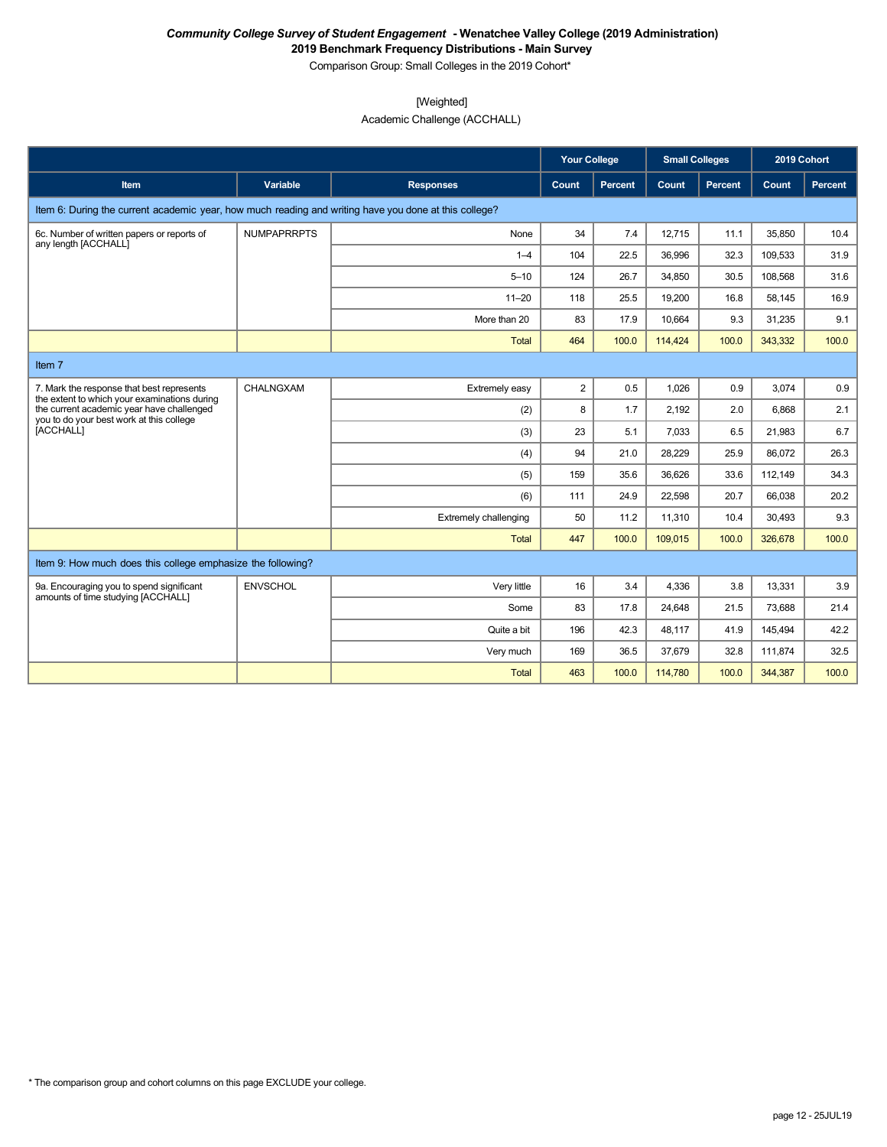**2019 Benchmark Frequency Distributions - Main Survey** Comparison Group: Small Colleges in the 2019 Cohort\*

[Weighted]

Academic Challenge (ACCHALL)

|                                                                                                       |                    |                              | <b>Your College</b> |                | <b>Small Colleges</b> |                | 2019 Cohort |         |
|-------------------------------------------------------------------------------------------------------|--------------------|------------------------------|---------------------|----------------|-----------------------|----------------|-------------|---------|
| <b>Item</b>                                                                                           | Variable           | <b>Responses</b>             | Count               | <b>Percent</b> | Count                 | <b>Percent</b> | Count       | Percent |
| Item 6: During the current academic year, how much reading and writing have you done at this college? |                    |                              |                     |                |                       |                |             |         |
| 6c. Number of written papers or reports of<br>any length [ACCHALL]                                    | <b>NUMPAPRRPTS</b> | None                         | 34                  | 7.4            | 12,715                | 11.1           | 35,850      | 10.4    |
|                                                                                                       |                    | $1 - 4$                      | 104                 | 22.5           | 36,996                | 32.3           | 109,533     | 31.9    |
|                                                                                                       |                    | $5 - 10$                     | 124                 | 26.7           | 34,850                | 30.5           | 108,568     | 31.6    |
|                                                                                                       |                    | $11 - 20$                    | 118                 | 25.5           | 19,200                | 16.8           | 58.145      | 16.9    |
|                                                                                                       |                    | More than 20                 | 83                  | 17.9           | 10,664                | 9.3            | 31,235      | 9.1     |
|                                                                                                       |                    | Total                        | 464                 | 100.0          | 114,424               | 100.0          | 343,332     | 100.0   |
| Item 7                                                                                                |                    |                              |                     |                |                       |                |             |         |
| 7. Mark the response that best represents<br>the extent to which your examinations during             | CHALNGXAM          | Extremely easy               | $\overline{2}$      | 0.5            | 1.026                 | 0.9            | 3.074       | 0.9     |
| the current academic year have challenged<br>you to do your best work at this college                 |                    | (2)                          | 8                   | 1.7            | 2,192                 | 2.0            | 6.868       | 2.1     |
| [ACCHALL]                                                                                             |                    | (3)                          | 23                  | 5.1            | 7,033                 | 6.5            | 21,983      | 6.7     |
|                                                                                                       |                    | (4)                          | 94                  | 21.0           | 28,229                | 25.9           | 86.072      | 26.3    |
|                                                                                                       |                    | (5)                          | 159                 | 35.6           | 36,626                | 33.6           | 112,149     | 34.3    |
|                                                                                                       |                    | (6)                          | 111                 | 24.9           | 22,598                | 20.7           | 66,038      | 20.2    |
|                                                                                                       |                    | <b>Extremely challenging</b> | 50                  | 11.2           | 11,310                | 10.4           | 30,493      | 9.3     |
|                                                                                                       |                    | <b>Total</b>                 | 447                 | 100.0          | 109,015               | 100.0          | 326,678     | 100.0   |
| Item 9: How much does this college emphasize the following?                                           |                    |                              |                     |                |                       |                |             |         |
| 9a. Encouraging you to spend significant<br>amounts of time studying [ACCHALL]                        | <b>ENVSCHOL</b>    | Very little                  | 16                  | 3.4            | 4,336                 | 3.8            | 13,331      | 3.9     |
|                                                                                                       |                    | Some                         | 83                  | 17.8           | 24,648                | 21.5           | 73,688      | 21.4    |
|                                                                                                       |                    | Quite a bit                  | 196                 | 42.3           | 48,117                | 41.9           | 145,494     | 42.2    |
|                                                                                                       |                    | Very much                    | 169                 | 36.5           | 37,679                | 32.8           | 111,874     | 32.5    |
|                                                                                                       |                    | <b>Total</b>                 | 463                 | 100.0          | 114,780               | 100.0          | 344,387     | 100.0   |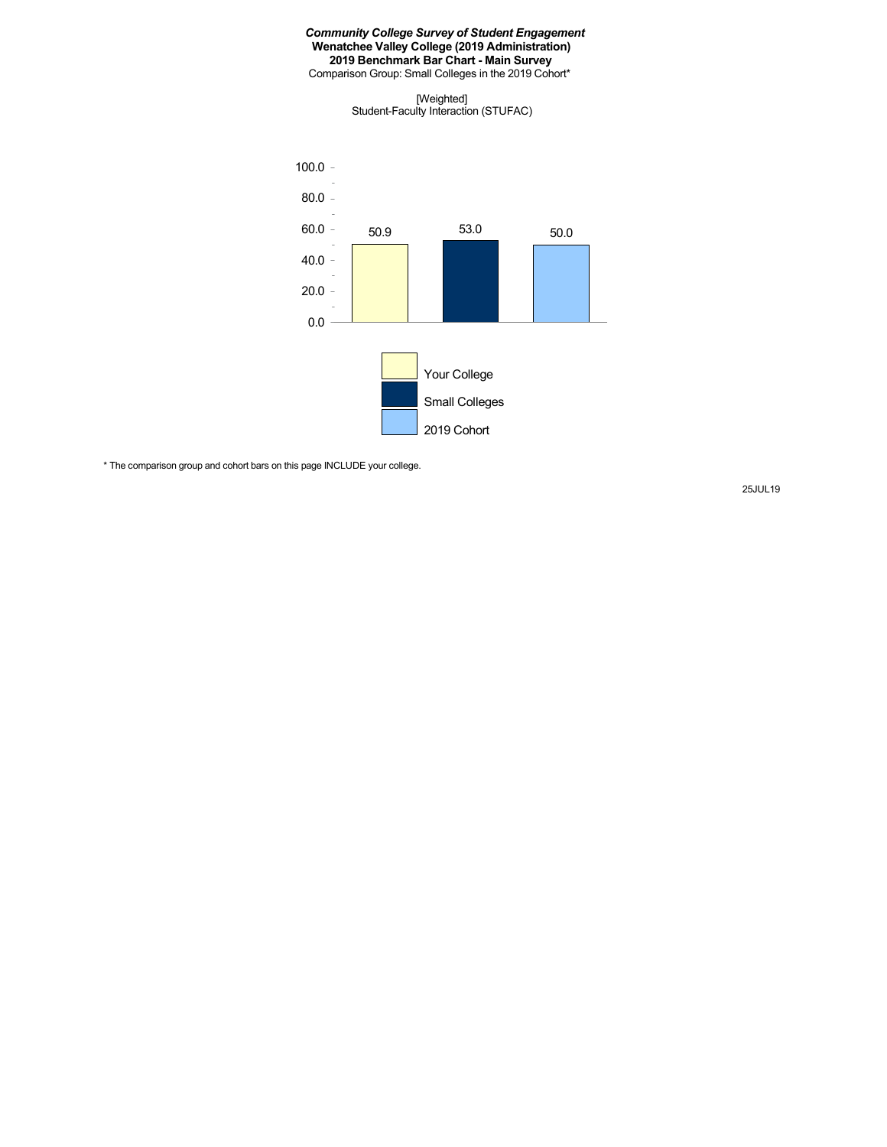Comparison Group: Small Colleges in the 2019 Cohort\*

[Weighted] Student-Faculty Interaction (STUFAC)



\* The comparison group and cohort bars on this page INCLUDE your college.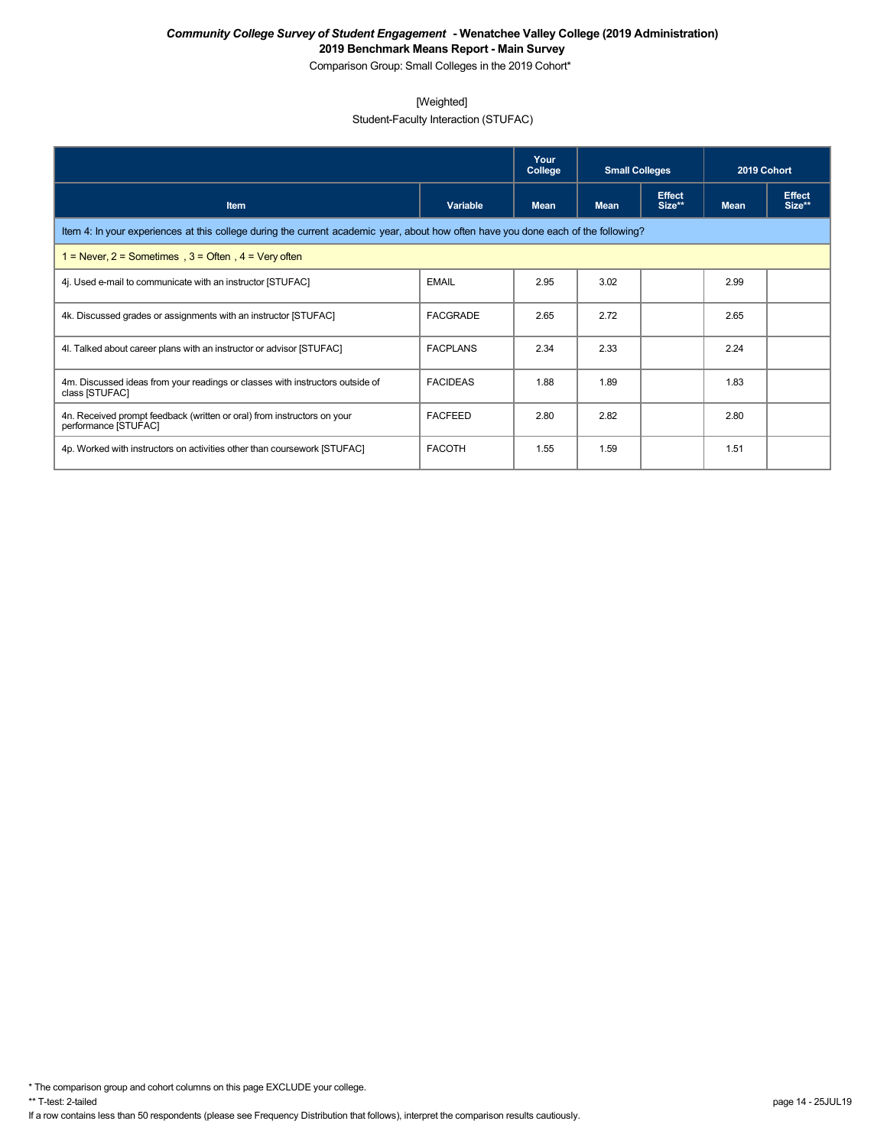Comparison Group: Small Colleges in the 2019 Cohort\*

## [Weighted]

Student-Faculty Interaction (STUFAC)

|                                                                                                                                    |                 | Your<br>College | <b>Small Colleges</b> |                         | 2019 Cohort |                         |  |  |  |  |
|------------------------------------------------------------------------------------------------------------------------------------|-----------------|-----------------|-----------------------|-------------------------|-------------|-------------------------|--|--|--|--|
| <b>Item</b>                                                                                                                        | Variable        | <b>Mean</b>     | <b>Mean</b>           | <b>Effect</b><br>Size** | <b>Mean</b> | <b>Effect</b><br>Size** |  |  |  |  |
| Item 4: In your experiences at this college during the current academic year, about how often have you done each of the following? |                 |                 |                       |                         |             |                         |  |  |  |  |
| 1 = Never, $2$ = Sometimes, $3$ = Often, $4$ = Very often                                                                          |                 |                 |                       |                         |             |                         |  |  |  |  |
| 4. Used e-mail to communicate with an instructor [STUFAC]                                                                          | <b>EMAIL</b>    | 2.95            | 3.02                  |                         | 2.99        |                         |  |  |  |  |
| 4k. Discussed grades or assignments with an instructor [STUFAC]                                                                    | <b>FACGRADE</b> | 2.65            | 2.72                  |                         | 2.65        |                         |  |  |  |  |
| 4I. Talked about career plans with an instructor or advisor [STUFAC]                                                               | <b>FACPLANS</b> | 2.34            | 2.33                  |                         | 2.24        |                         |  |  |  |  |
| 4m. Discussed ideas from your readings or classes with instructors outside of<br>class [STUFAC]                                    | <b>FACIDEAS</b> | 1.88            | 1.89                  |                         | 1.83        |                         |  |  |  |  |
| 4n. Received prompt feedback (written or oral) from instructors on your<br>performance [STUFAC]                                    | <b>FACFEED</b>  | 2.80            | 2.82                  |                         | 2.80        |                         |  |  |  |  |
| 4p. Worked with instructors on activities other than coursework [STUFAC]                                                           | <b>FACOTH</b>   | 1.55            | 1.59                  |                         | 1.51        |                         |  |  |  |  |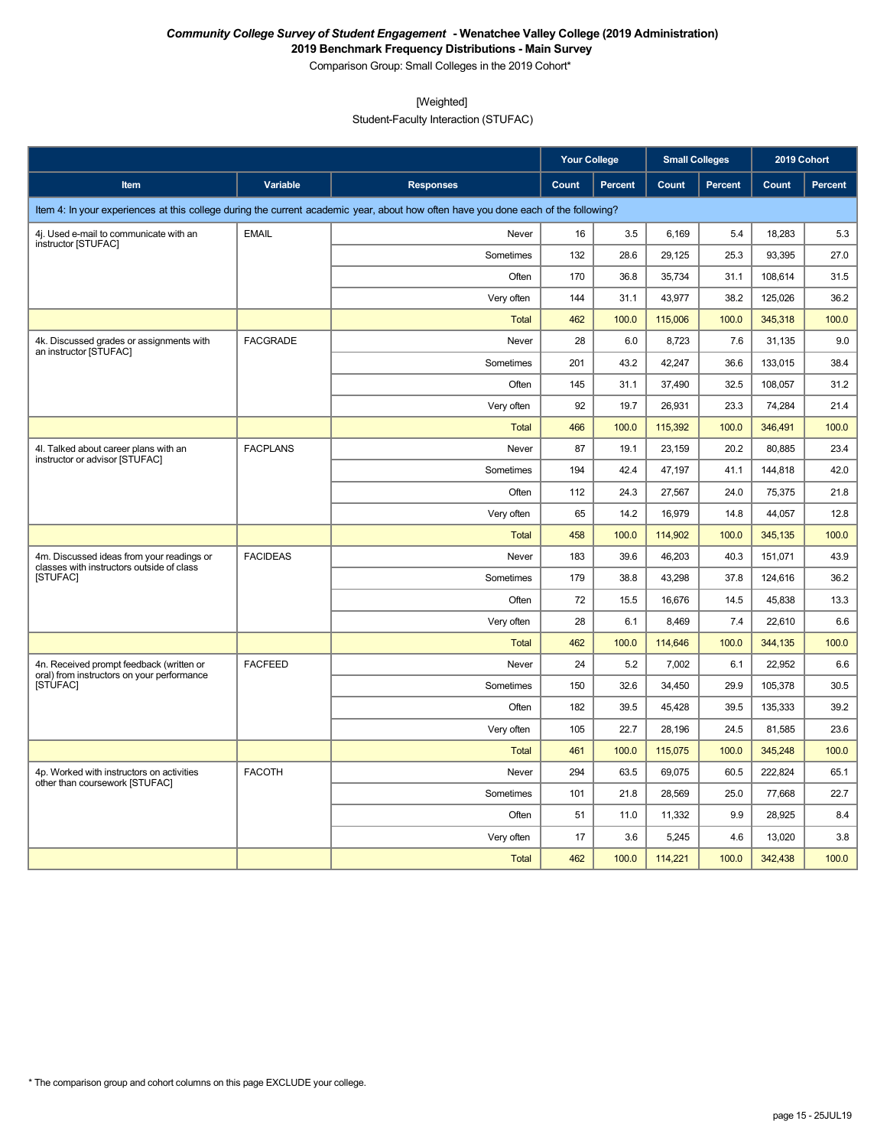Comparison Group: Small Colleges in the 2019 Cohort\*

[Weighted]

Student-Faculty Interaction (STUFAC)

|                                                                                        |                 |                                                                                                                                    | <b>Your College</b> |                | <b>Small Colleges</b> |                | 2019 Cohort |                |
|----------------------------------------------------------------------------------------|-----------------|------------------------------------------------------------------------------------------------------------------------------------|---------------------|----------------|-----------------------|----------------|-------------|----------------|
| Item                                                                                   | Variable        | <b>Responses</b>                                                                                                                   | Count               | <b>Percent</b> | Count                 | <b>Percent</b> | Count       | <b>Percent</b> |
|                                                                                        |                 | Item 4: In your experiences at this college during the current academic year, about how often have you done each of the following? |                     |                |                       |                |             |                |
| 4j. Used e-mail to communicate with an<br>instructor [STUFAC]                          | <b>EMAIL</b>    | Never                                                                                                                              | 16                  | 3.5            | 6,169                 | 5.4            | 18,283      | 5.3            |
|                                                                                        |                 | Sometimes                                                                                                                          | 132                 | 28.6           | 29,125                | 25.3           | 93,395      | 27.0           |
|                                                                                        |                 | Often                                                                                                                              | 170                 | 36.8           | 35,734                | 31.1           | 108,614     | 31.5           |
|                                                                                        |                 | Very often                                                                                                                         | 144                 | 31.1           | 43,977                | 38.2           | 125,026     | 36.2           |
|                                                                                        |                 | Total                                                                                                                              | 462                 | 100.0          | 115,006               | 100.0          | 345,318     | 100.0          |
| 4k. Discussed grades or assignments with<br>an instructor [STUFAC]                     | <b>FACGRADE</b> | Never                                                                                                                              | 28                  | 6.0            | 8,723                 | 7.6            | 31,135      | 9.0            |
|                                                                                        |                 | Sometimes                                                                                                                          | 201                 | 43.2           | 42,247                | 36.6           | 133,015     | 38.4           |
|                                                                                        |                 | Often                                                                                                                              | 145                 | 31.1           | 37,490                | 32.5           | 108,057     | 31.2           |
|                                                                                        |                 | Very often                                                                                                                         | 92                  | 19.7           | 26,931                | 23.3           | 74,284      | 21.4           |
|                                                                                        |                 | Total                                                                                                                              | 466                 | 100.0          | 115,392               | 100.0          | 346,491     | 100.0          |
| 4I. Talked about career plans with an<br>instructor or advisor [STUFAC]                | <b>FACPLANS</b> | Never                                                                                                                              | 87                  | 19.1           | 23,159                | 20.2           | 80,885      | 23.4           |
|                                                                                        |                 | Sometimes                                                                                                                          | 194                 | 42.4           | 47,197                | 41.1           | 144,818     | 42.0           |
|                                                                                        |                 | Often                                                                                                                              | 112                 | 24.3           | 27,567                | 24.0           | 75,375      | 21.8           |
|                                                                                        |                 | Very often                                                                                                                         | 65                  | 14.2           | 16,979                | 14.8           | 44,057      | 12.8           |
|                                                                                        |                 | Total                                                                                                                              | 458                 | 100.0          | 114,902               | 100.0          | 345,135     | 100.0          |
| 4m. Discussed ideas from your readings or<br>classes with instructors outside of class | <b>FACIDEAS</b> | Never                                                                                                                              | 183                 | 39.6           | 46,203                | 40.3           | 151,071     | 43.9           |
| [STUFAC]                                                                               |                 | Sometimes                                                                                                                          | 179                 | 38.8           | 43,298                | 37.8           | 124,616     | 36.2           |
|                                                                                        |                 | Often                                                                                                                              | 72                  | 15.5           | 16,676                | 14.5           | 45,838      | 13.3           |
|                                                                                        |                 | Very often                                                                                                                         | 28                  | 6.1            | 8,469                 | 7.4            | 22,610      | 6.6            |
|                                                                                        |                 | <b>Total</b>                                                                                                                       | 462                 | 100.0          | 114,646               | 100.0          | 344,135     | 100.0          |
| 4n. Received prompt feedback (written or<br>oral) from instructors on your performance | <b>FACFEED</b>  | Never                                                                                                                              | 24                  | 5.2            | 7,002                 | 6.1            | 22,952      | 6.6            |
| [STUFAC]                                                                               |                 | Sometimes                                                                                                                          | 150                 | 32.6           | 34,450                | 29.9           | 105,378     | 30.5           |
|                                                                                        |                 | Often                                                                                                                              | 182                 | 39.5           | 45,428                | 39.5           | 135,333     | 39.2           |
|                                                                                        |                 | Very often                                                                                                                         | 105                 | 22.7           | 28,196                | 24.5           | 81,585      | 23.6           |
|                                                                                        |                 | <b>Total</b>                                                                                                                       | 461                 | 100.0          | 115,075               | 100.0          | 345,248     | 100.0          |
| 4p. Worked with instructors on activities<br>other than coursework [STUFAC]            | <b>FACOTH</b>   | Never                                                                                                                              | 294                 | 63.5           | 69,075                | 60.5           | 222,824     | 65.1           |
|                                                                                        |                 | Sometimes                                                                                                                          | 101                 | 21.8           | 28,569                | 25.0           | 77,668      | 22.7           |
|                                                                                        |                 | Often                                                                                                                              | 51                  | 11.0           | 11,332                | 9.9            | 28,925      | 8.4            |
|                                                                                        |                 | Very often                                                                                                                         | 17                  | 3.6            | 5,245                 | 4.6            | 13,020      | 3.8            |
|                                                                                        |                 | <b>Total</b>                                                                                                                       | 462                 | 100.0          | 114,221               | 100.0          | 342,438     | 100.0          |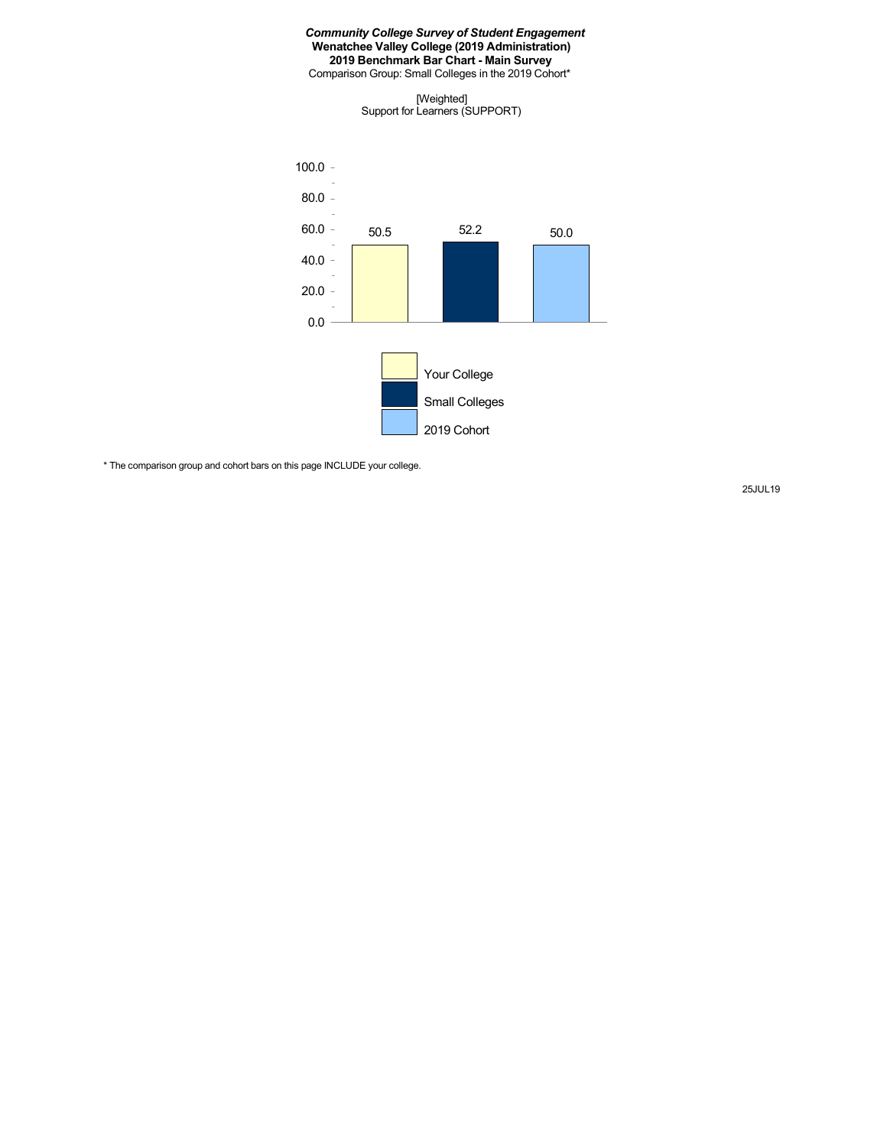Comparison Group: Small Colleges in the 2019 Cohort\*

[Weighted] Support for Learners (SUPPORT)



\* The comparison group and cohort bars on this page INCLUDE your college.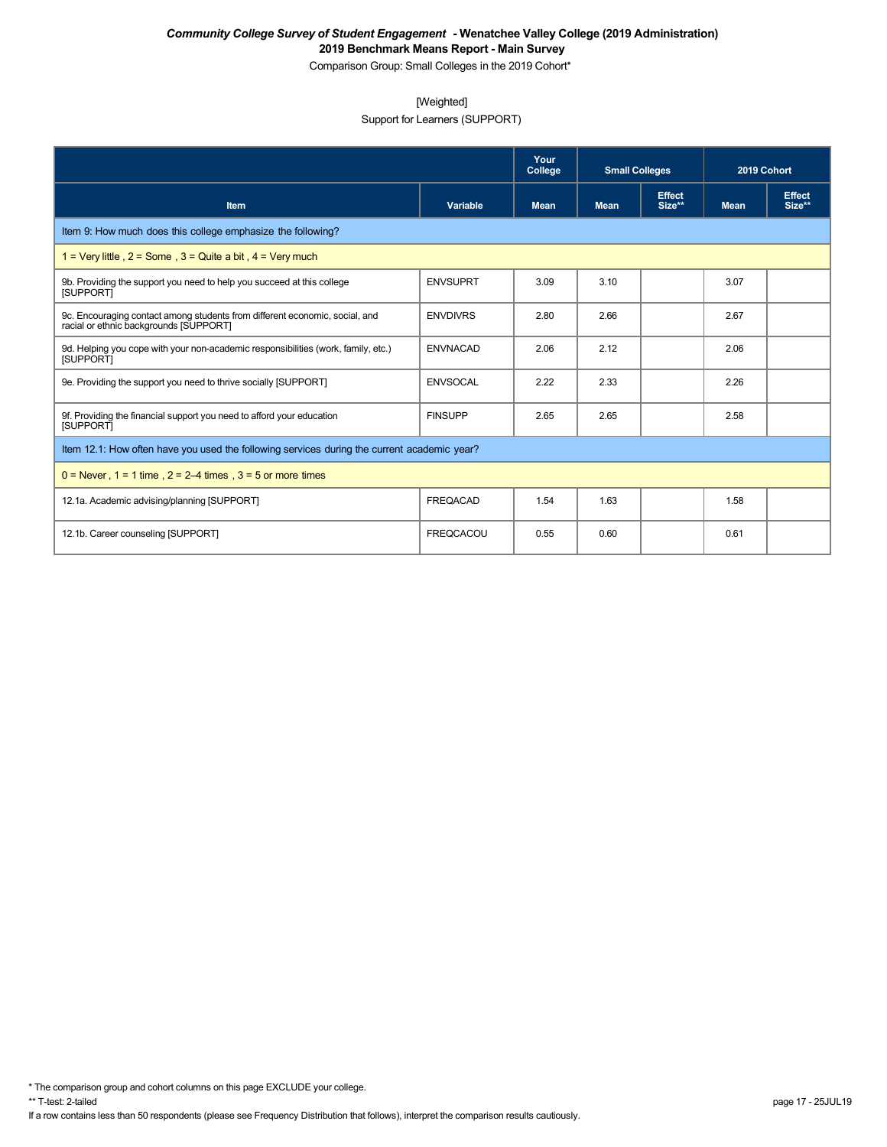Comparison Group: Small Colleges in the 2019 Cohort\*

## [Weighted]

Support for Learners (SUPPORT)

|                                                                                                                       |                  | Your<br>College | <b>Small Colleges</b> |                         | 2019 Cohort |                         |
|-----------------------------------------------------------------------------------------------------------------------|------------------|-----------------|-----------------------|-------------------------|-------------|-------------------------|
| <b>Item</b>                                                                                                           | Variable         | <b>Mean</b>     | <b>Mean</b>           | <b>Effect</b><br>Size** | <b>Mean</b> | <b>Effect</b><br>Size** |
| Item 9: How much does this college emphasize the following?                                                           |                  |                 |                       |                         |             |                         |
| 1 = Very little, $2 =$ Some, $3 =$ Quite a bit, $4 =$ Very much                                                       |                  |                 |                       |                         |             |                         |
| 9b. Providing the support you need to help you succeed at this college<br><b>ISUPPORTI</b>                            | <b>ENVSUPRT</b>  | 3.09            | 3.10                  |                         | 3.07        |                         |
| 9c. Encouraging contact among students from different economic, social, and<br>racial or ethnic backgrounds [SUPPORT] | <b>ENVDIVRS</b>  | 2.80            | 2.66                  |                         | 2.67        |                         |
| 9d. Helping you cope with your non-academic responsibilities (work, family, etc.)<br><b>ISUPPORTI</b>                 | <b>ENVNACAD</b>  | 2.06            | 2.12                  |                         | 2.06        |                         |
| 9e. Providing the support you need to thrive socially [SUPPORT]                                                       | <b>ENVSOCAL</b>  | 2.22            | 2.33                  |                         | 2.26        |                         |
| 9f. Providing the financial support you need to afford your education<br><b>ISUPPORTI</b>                             | <b>FINSUPP</b>   | 2.65            | 2.65                  |                         | 2.58        |                         |
| Item 12.1: How often have you used the following services during the current academic year?                           |                  |                 |                       |                         |             |                         |
| $0 =$ Never, $1 = 1$ time, $2 = 2-4$ times, $3 = 5$ or more times                                                     |                  |                 |                       |                         |             |                         |
| 12.1a. Academic advising/planning [SUPPORT]                                                                           | <b>FREQACAD</b>  | 1.54            | 1.63                  |                         | 1.58        |                         |
| 12.1b. Career counseling [SUPPORT]                                                                                    | <b>FREQCACOU</b> | 0.55            | 0.60                  |                         | 0.61        |                         |